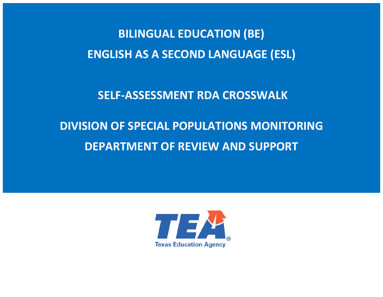**BILINGUAL EDUCATION (BE) ENGLISH AS A SECOND LANGUAGE (ESL)** 

 **SELF-ASSESSMENT RDA CROSSWALK**

# **DIVISION OF SPECIAL POPULATIONS MONITORING DEPARTMENT OF REVIEW AND SUPPORT**

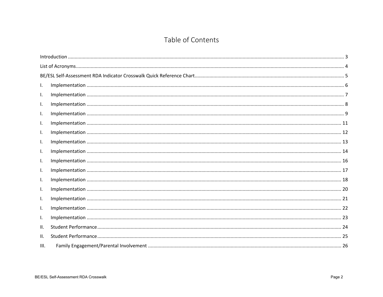## Table of Contents

| I.   |  |
|------|--|
| I.   |  |
| I.   |  |
| I.   |  |
| I.   |  |
| I.   |  |
| I.   |  |
| I.   |  |
| I.   |  |
| I.   |  |
| I.   |  |
| I.   |  |
| I.   |  |
| I.   |  |
| I.   |  |
| ΙΙ.  |  |
| II.  |  |
| III. |  |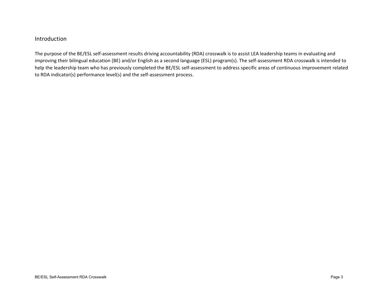#### <span id="page-2-0"></span>Introduction

The purpose of the BE/ESL self-assessment results driving accountability (RDA) crosswalk is to assist LEA leadership teams in evaluating and improving their bilingual education (BE) and/or English as a second language (ESL) program(s). The self-assessment RDA crosswalk is intended to help the leadership team who has previously completed the BE/ESL self-assessment to address specific areas of continuous improvement related to RDA indicator(s) performance level(s) and the self-assessment process.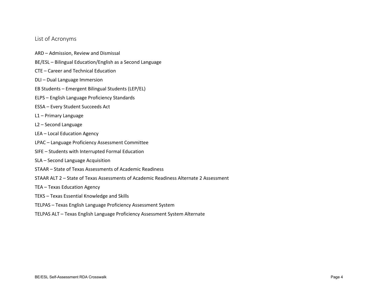#### <span id="page-3-0"></span>List of Acronyms

- ARD Admission, Review and Dismissal
- BE/ESL Bilingual Education/English as a Second Language
- CTE Career and Technical Education
- DLI Dual Language Immersion
- EB Students Emergent Bilingual Students (LEP/EL)
- ELPS English Language Proficiency Standards
- ESSA Every Student Succeeds Act
- L1 Primary Language
- L2 Second Language
- LEA Local Education Agency
- LPAC Language Proficiency Assessment Committee
- SIFE Students with Interrupted Formal Education
- SLA Second Language Acquisition
- STAAR State of Texas Assessments of Academic Readiness
- STAAR ALT 2 State of Texas Assessments of Academic Readiness Alternate 2 Assessment
- TEA Texas Education Agency
- TEKS Texas Essential Knowledge and Skills
- TELPAS Texas English Language Proficiency Assessment System
- TELPAS ALT Texas English Language Proficiency Assessment System Alternate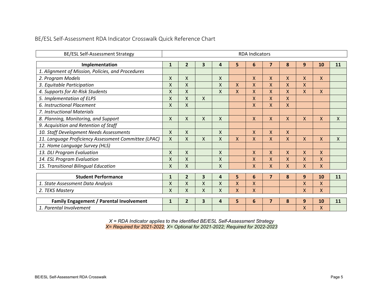#### <span id="page-4-0"></span>BE/ESL Self-Assessment RDA Indicator Crosswalk Quick Reference Chart

| BE/ESL Self-Assessment Strategy                      |              | <b>RDA Indicators</b> |              |                    |   |    |                         |                |                    |              |              |
|------------------------------------------------------|--------------|-----------------------|--------------|--------------------|---|----|-------------------------|----------------|--------------------|--------------|--------------|
| $\overline{\mathbf{z}}$<br>4                         |              |                       |              |                    |   | 11 |                         |                |                    |              |              |
| Implementation                                       | $\mathbf{1}$ | $\overline{2}$        | 3            |                    | 5 | 6  |                         | 8              | 9                  | 10           |              |
| 1. Alignment of Mission, Policies, and Procedures    |              |                       |              |                    |   |    |                         |                |                    |              |              |
| 2. Program Models                                    | X            | X                     |              | X                  |   | X  | X                       | $\mathsf{x}$   | $\mathsf{X}$       | $\mathsf{X}$ |              |
| 3. Equitable Participation                           | X            | $\mathsf{x}$          |              | X                  | X | X  | X                       | $\mathsf{X}$   | $\mathsf{X}$       |              |              |
| 4. Supports for At-Risk Students                     | X            | $\mathsf{X}$          |              | X                  | X | X  | X                       | $\mathsf{X}$   | $\sf X$            | $\mathsf{X}$ |              |
| 5. Implementation of ELPS                            | Χ            | $\mathsf{X}$          | $\mathsf{X}$ |                    |   | X  | X                       | $\mathsf{x}$   |                    |              |              |
| 6. Instructional Placement                           | X            | $\mathsf{X}$          |              |                    |   | X  | X                       | $\mathsf{x}$   |                    |              |              |
| 7. Instructional Materials                           |              |                       |              |                    |   |    |                         |                |                    |              |              |
| 8. Planning, Monitoring, and Support                 | X            | $\pmb{\chi}$          | $\mathsf{X}$ | $\pmb{\mathsf{X}}$ |   | X  | X                       | $\mathsf{X}$   | $\mathsf{X}$       | $\mathsf{X}$ | $\mathsf{X}$ |
| 9. Acquisition and Retention of Staff                |              |                       |              |                    |   |    |                         |                |                    |              |              |
| 10. Staff Development Needs Assessments              | X            | X                     |              | X                  |   | X  | X                       | X              |                    |              |              |
| 11. Language Proficiency Assessment Committee (LPAC) | X            | X                     | $\mathsf{X}$ | X                  | X | X  | X                       | X              | X                  | $\mathsf{X}$ | $\mathsf{X}$ |
| 12. Home Language Survey (HLS)                       |              |                       |              |                    |   |    |                         |                |                    |              |              |
| 13. DLI Program Evaluation                           | X            | $\mathsf{X}$          |              | X                  |   | X  | X                       | $\mathsf{X}$   | $\mathsf{X}$       | $\mathsf{X}$ |              |
| 14. ESL Program Evaluation                           | X            | $\mathsf{x}$          |              | X                  |   | X  | X                       | $\overline{X}$ | $\mathsf{x}$       | $\mathsf{x}$ |              |
| 15. Transitional Bilingual Education                 | X            | Χ                     |              | X                  |   | X  | X                       | $\mathsf{X}$   | $\mathsf{X}$       | $\mathsf{X}$ |              |
|                                                      |              |                       |              |                    |   |    |                         |                |                    |              |              |
| <b>Student Performance</b>                           | $\mathbf{1}$ | $\overline{2}$        | 3            | 4                  | 5 | 6  | $\overline{\mathbf{z}}$ | 8              | 9                  | 10           | 11           |
| 1. State Assessment Data Analysis                    | X            | X                     | X            | X                  | X | X  |                         |                | $\mathsf{X}$       | $\mathsf{x}$ |              |
| 2. TEKS Mastery                                      | X            | X                     | X            | X                  | X | X  |                         |                | X                  | $\mathsf{X}$ |              |
| <b>Family Engagement / Parental Involvement</b>      | $\mathbf{1}$ | $\overline{2}$        | 3            | 4                  | 5 | 6  | $\overline{7}$          | 8              | 9                  | 10           | 11           |
| 1. Parental Involvement                              |              |                       |              |                    |   |    |                         |                | $\pmb{\mathsf{X}}$ | X            |              |

*X = RDA Indicator applies to the identified BE/ESL Self-Assessment Strategy X= Required for 2021-2022; X= Optional for 2021-2022; Required for 2022-2023*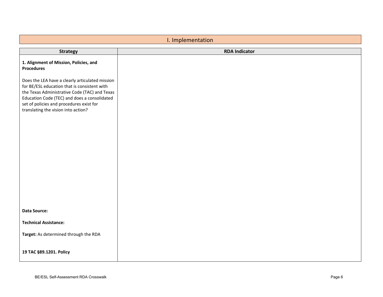<span id="page-5-0"></span>

| I. Implementation                                                                                                                                                                                                                                                                   |                      |  |  |  |
|-------------------------------------------------------------------------------------------------------------------------------------------------------------------------------------------------------------------------------------------------------------------------------------|----------------------|--|--|--|
| <b>Strategy</b>                                                                                                                                                                                                                                                                     | <b>RDA Indicator</b> |  |  |  |
| 1. Alignment of Mission, Policies, and<br><b>Procedures</b>                                                                                                                                                                                                                         |                      |  |  |  |
| Does the LEA have a clearly articulated mission<br>for BE/ESL education that is consistent with<br>the Texas Administrative Code (TAC) and Texas<br>Education Code (TEC) and does a consolidated<br>set of policies and procedures exist for<br>translating the vision into action? |                      |  |  |  |
|                                                                                                                                                                                                                                                                                     |                      |  |  |  |
| Data Source:                                                                                                                                                                                                                                                                        |                      |  |  |  |
| <b>Technical Assistance:</b>                                                                                                                                                                                                                                                        |                      |  |  |  |
| Target: As determined through the RDA                                                                                                                                                                                                                                               |                      |  |  |  |
| 19 TAC §89.1201. Policy                                                                                                                                                                                                                                                             |                      |  |  |  |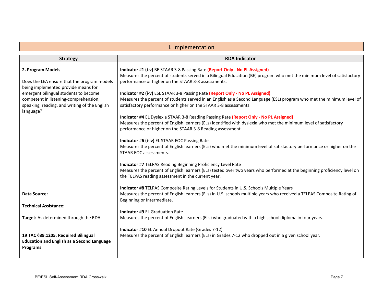<span id="page-6-0"></span>

| I. Implementation                                                            |                                                                                                                          |  |  |
|------------------------------------------------------------------------------|--------------------------------------------------------------------------------------------------------------------------|--|--|
| <b>Strategy</b>                                                              | <b>RDA Indicator</b>                                                                                                     |  |  |
|                                                                              |                                                                                                                          |  |  |
| 2. Program Models                                                            | Indicator #1 (i-v) BE STAAR 3-8 Passing Rate (Report Only - No PL Assigned)                                              |  |  |
|                                                                              | Measures the percent of students served in a Bilingual Education (BE) program who met the minimum level of satisfactory  |  |  |
| Does the LEA ensure that the program models                                  | performance or higher on the STAAR 3-8 assessments.                                                                      |  |  |
| being implemented provide means for<br>emergent bilingual students to become | Indicator #2 (i-v) ESL STAAR 3-8 Passing Rate (Report Only - No PL Assigned)                                             |  |  |
| competent in listening-comprehension,                                        | Measures the percent of students served in an English as a Second Language (ESL) program who met the minimum level of    |  |  |
| speaking, reading, and writing of the English                                | satisfactory performance or higher on the STAAR 3-8 assessments.                                                         |  |  |
| language?                                                                    |                                                                                                                          |  |  |
|                                                                              | Indicator #4 EL Dyslexia STAAR 3-8 Reading Passing Rate (Report Only - No PL Assigned)                                   |  |  |
|                                                                              | Measures the percent of English learners (ELs) identified with dyslexia who met the minimum level of satisfactory        |  |  |
|                                                                              | performance or higher on the STAAR 3-8 Reading assessment.                                                               |  |  |
|                                                                              | Indicator #6 (i-iv) EL STAAR EOC Passing Rate                                                                            |  |  |
|                                                                              | Measures the percent of English learners (ELs) who met the minimum level of satisfactory performance or higher on the    |  |  |
|                                                                              | <b>STAAR EOC assessments.</b>                                                                                            |  |  |
|                                                                              |                                                                                                                          |  |  |
|                                                                              | Indicator #7 TELPAS Reading Beginning Proficiency Level Rate                                                             |  |  |
|                                                                              | Measures the percent of English learners (ELs) tested over two years who performed at the beginning proficiency level on |  |  |
|                                                                              | the TELPAS reading assessment in the current year.                                                                       |  |  |
|                                                                              | Indicator #8 TELPAS Composite Rating Levels for Students in U.S. Schools Multiple Years                                  |  |  |
| <b>Data Source:</b>                                                          | Measures the percent of English learners (ELs) in U.S. schools multiple years who received a TELPAS Composite Rating of  |  |  |
|                                                                              | Beginning or Intermediate.                                                                                               |  |  |
| <b>Technical Assistance:</b>                                                 |                                                                                                                          |  |  |
|                                                                              | <b>Indicator #9 EL Graduation Rate</b>                                                                                   |  |  |
| <b>Target:</b> As determined through the RDA                                 | Measures the percent of English Learners (ELs) who graduated with a high school diploma in four years.                   |  |  |
|                                                                              | Indicator #10 EL Annual Dropout Rate (Grades 7-12)                                                                       |  |  |
| 19 TAC §89.1205. Required Bilingual                                          | Measures the percent of English learners (ELs) in Grades 7-12 who dropped out in a given school year.                    |  |  |
| <b>Education and English as a Second Language</b>                            |                                                                                                                          |  |  |
| <b>Programs</b>                                                              |                                                                                                                          |  |  |
|                                                                              |                                                                                                                          |  |  |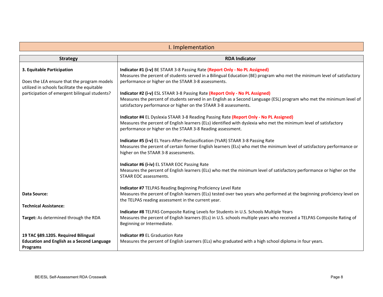<span id="page-7-0"></span>

| I. Implementation                                                                                           |                                                                                                                                                                                                                                                                           |  |  |
|-------------------------------------------------------------------------------------------------------------|---------------------------------------------------------------------------------------------------------------------------------------------------------------------------------------------------------------------------------------------------------------------------|--|--|
| <b>Strategy</b>                                                                                             | <b>RDA Indicator</b>                                                                                                                                                                                                                                                      |  |  |
| 3. Equitable Participation<br>Does the LEA ensure that the program models                                   | Indicator #1 (i-v) BE STAAR 3-8 Passing Rate (Report Only - No PL Assigned)<br>Measures the percent of students served in a Bilingual Education (BE) program who met the minimum level of satisfactory<br>performance or higher on the STAAR 3-8 assessments.             |  |  |
| utilized in schools facilitate the equitable<br>participation of emergent bilingual students?               | Indicator #2 (i-v) ESL STAAR 3-8 Passing Rate (Report Only - No PL Assigned)<br>Measures the percent of students served in an English as a Second Language (ESL) program who met the minimum level of<br>satisfactory performance or higher on the STAAR 3-8 assessments. |  |  |
|                                                                                                             | Indicator #4 EL Dyslexia STAAR 3-8 Reading Passing Rate (Report Only - No PL Assigned)<br>Measures the percent of English learners (ELs) identified with dyslexia who met the minimum level of satisfactory<br>performance or higher on the STAAR 3-8 Reading assessment. |  |  |
|                                                                                                             | Indicator #5 (i-v) EL Years-After-Reclassification (YsAR) STAAR 3-8 Passing Rate<br>Measures the percent of certain former English learners (ELs) who met the minimum level of satisfactory performance or<br>higher on the STAAR 3-8 assessments.                        |  |  |
|                                                                                                             | Indicator #6 (i-iv) EL STAAR EOC Passing Rate<br>Measures the percent of English learners (ELs) who met the minimum level of satisfactory performance or higher on the<br><b>STAAR EOC assessments.</b>                                                                   |  |  |
| <b>Data Source:</b>                                                                                         | Indicator #7 TELPAS Reading Beginning Proficiency Level Rate<br>Measures the percent of English learners (ELs) tested over two years who performed at the beginning proficiency level on<br>the TELPAS reading assessment in the current year.                            |  |  |
| <b>Technical Assistance:</b><br>Target: As determined through the RDA                                       | Indicator #8 TELPAS Composite Rating Levels for Students in U.S. Schools Multiple Years<br>Measures the percent of English learners (ELs) in U.S. schools multiple years who received a TELPAS Composite Rating of<br>Beginning or Intermediate.                          |  |  |
| 19 TAC §89.1205. Required Bilingual<br><b>Education and English as a Second Language</b><br><b>Programs</b> | <b>Indicator #9 EL Graduation Rate</b><br>Measures the percent of English Learners (ELs) who graduated with a high school diploma in four years.                                                                                                                          |  |  |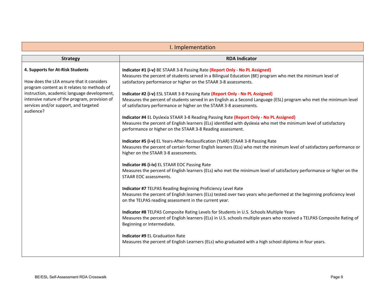<span id="page-8-0"></span>

| I. Implementation                                                                                                                                                                                                                                                                  |                                                                                                                                                                                                                                                                                                                                                                                                                                                                                                                                                                                                                                                                                                                                                                                                                                                                                                                                                                                                                                                                                                                                                                                                                                                                                                                                                                                                                                                                                                                                                                                                                                                                                                                                                                                                                                                                                                                                             |  |  |  |
|------------------------------------------------------------------------------------------------------------------------------------------------------------------------------------------------------------------------------------------------------------------------------------|---------------------------------------------------------------------------------------------------------------------------------------------------------------------------------------------------------------------------------------------------------------------------------------------------------------------------------------------------------------------------------------------------------------------------------------------------------------------------------------------------------------------------------------------------------------------------------------------------------------------------------------------------------------------------------------------------------------------------------------------------------------------------------------------------------------------------------------------------------------------------------------------------------------------------------------------------------------------------------------------------------------------------------------------------------------------------------------------------------------------------------------------------------------------------------------------------------------------------------------------------------------------------------------------------------------------------------------------------------------------------------------------------------------------------------------------------------------------------------------------------------------------------------------------------------------------------------------------------------------------------------------------------------------------------------------------------------------------------------------------------------------------------------------------------------------------------------------------------------------------------------------------------------------------------------------------|--|--|--|
| <b>Strategy</b>                                                                                                                                                                                                                                                                    | <b>RDA Indicator</b>                                                                                                                                                                                                                                                                                                                                                                                                                                                                                                                                                                                                                                                                                                                                                                                                                                                                                                                                                                                                                                                                                                                                                                                                                                                                                                                                                                                                                                                                                                                                                                                                                                                                                                                                                                                                                                                                                                                        |  |  |  |
| 4. Supports for At-Risk Students<br>How does the LEA ensure that it considers<br>program content as it relates to methods of<br>instruction, academic language development,<br>intensive nature of the program, provision of<br>services and/or support, and targeted<br>audience? | Indicator #1 (i-v) BE STAAR 3-8 Passing Rate (Report Only - No PL Assigned)<br>Measures the percent of students served in a Bilingual Education (BE) program who met the minimum level of<br>satisfactory performance or higher on the STAAR 3-8 assessments.<br>Indicator #2 (i-v) ESL STAAR 3-8 Passing Rate (Report Only - No PL Assigned)<br>Measures the percent of students served in an English as a Second Language (ESL) program who met the minimum level<br>of satisfactory performance or higher on the STAAR 3-8 assessments.<br>Indicator #4 EL Dyslexia STAAR 3-8 Reading Passing Rate (Report Only - No PL Assigned)<br>Measures the percent of English learners (ELs) identified with dyslexia who met the minimum level of satisfactory<br>performance or higher on the STAAR 3-8 Reading assessment.<br>Indicator #5 (i-v) EL Years-After-Reclassification (YsAR) STAAR 3-8 Passing Rate<br>Measures the percent of certain former English learners (ELs) who met the minimum level of satisfactory performance or<br>higher on the STAAR 3-8 assessments.<br>Indicator #6 (i-iv) EL STAAR EOC Passing Rate<br>Measures the percent of English learners (ELs) who met the minimum level of satisfactory performance or higher on the<br>STAAR EOC assessments.<br>Indicator #7 TELPAS Reading Beginning Proficiency Level Rate<br>Measures the percent of English learners (ELs) tested over two years who performed at the beginning proficiency level<br>on the TELPAS reading assessment in the current year.<br>Indicator #8 TELPAS Composite Rating Levels for Students in U.S. Schools Multiple Years<br>Measures the percent of English learners (ELs) in U.S. schools multiple years who received a TELPAS Composite Rating of<br>Beginning or Intermediate.<br><b>Indicator #9 EL Graduation Rate</b><br>Measures the percent of English Learners (ELs) who graduated with a high school diploma in four years. |  |  |  |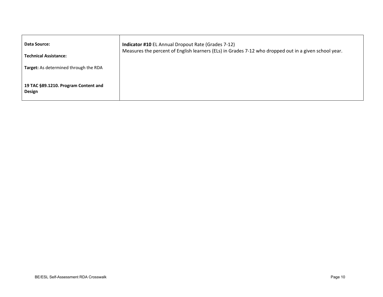| Data Source:                                          | <b>Indicator #10 EL Annual Dropout Rate (Grades 7-12)</b>                                             |
|-------------------------------------------------------|-------------------------------------------------------------------------------------------------------|
| <b>Technical Assistance:</b>                          | Measures the percent of English learners (ELs) in Grades 7-12 who dropped out in a given school year. |
| <b>Target:</b> As determined through the RDA          |                                                                                                       |
| 19 TAC §89.1210. Program Content and<br><b>Design</b> |                                                                                                       |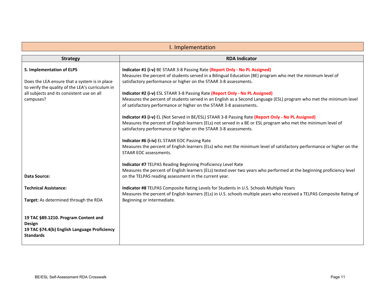<span id="page-10-0"></span>

| I. Implementation                                                                                                                                                                         |                                                                                                                                                                                                                                                                                                                                                                                                                                                                                                                                                                                                                                                                                                                                                                                                                                                                                                                                                                                                                                                                                                           |  |  |
|-------------------------------------------------------------------------------------------------------------------------------------------------------------------------------------------|-----------------------------------------------------------------------------------------------------------------------------------------------------------------------------------------------------------------------------------------------------------------------------------------------------------------------------------------------------------------------------------------------------------------------------------------------------------------------------------------------------------------------------------------------------------------------------------------------------------------------------------------------------------------------------------------------------------------------------------------------------------------------------------------------------------------------------------------------------------------------------------------------------------------------------------------------------------------------------------------------------------------------------------------------------------------------------------------------------------|--|--|
| <b>Strategy</b>                                                                                                                                                                           | <b>RDA Indicator</b>                                                                                                                                                                                                                                                                                                                                                                                                                                                                                                                                                                                                                                                                                                                                                                                                                                                                                                                                                                                                                                                                                      |  |  |
| 5. Implementation of ELPS<br>Does the LEA ensure that a system is in place<br>to verify the quality of the LEA's curriculum in<br>all subjects and its consistent use on all<br>campuses? | Indicator #1 (i-v) BE STAAR 3-8 Passing Rate (Report Only - No PL Assigned)<br>Measures the percent of students served in a Bilingual Education (BE) program who met the minimum level of<br>satisfactory performance or higher on the STAAR 3-8 assessments.<br>Indicator #2 (i-v) ESL STAAR 3-8 Passing Rate (Report Only - No PL Assigned)<br>Measures the percent of students served in an English as a Second Language (ESL) program who met the minimum level<br>of satisfactory performance or higher on the STAAR 3-8 assessments.<br>Indicator #3 (i-v) EL (Not Served in BE/ESL) STAAR 3-8 Passing Rate (Report Only - No PL Assigned)<br>Measures the percent of English learners (ELs) not served in a BE or ESL program who met the minimum level of<br>satisfactory performance or higher on the STAAR 3-8 assessments.<br>Indicator #6 (i-iv) EL STAAR EOC Passing Rate<br>Measures the percent of English learners (ELs) who met the minimum level of satisfactory performance or higher on the<br>STAAR EOC assessments.<br>Indicator #7 TELPAS Reading Beginning Proficiency Level Rate |  |  |
| <b>Data Source:</b>                                                                                                                                                                       | Measures the percent of English learners (ELs) tested over two years who performed at the beginning proficiency level<br>on the TELPAS reading assessment in the current year.                                                                                                                                                                                                                                                                                                                                                                                                                                                                                                                                                                                                                                                                                                                                                                                                                                                                                                                            |  |  |
| <b>Technical Assistance:</b><br>Target: As determined through the RDA                                                                                                                     | Indicator #8 TELPAS Composite Rating Levels for Students in U.S. Schools Multiple Years<br>Measures the percent of English learners (ELs) in U.S. schools multiple years who received a TELPAS Composite Rating of<br>Beginning or Intermediate.                                                                                                                                                                                                                                                                                                                                                                                                                                                                                                                                                                                                                                                                                                                                                                                                                                                          |  |  |
| 19 TAC §89.1210. Program Content and<br>Design<br>19 TAC §74.4(b) English Language Proficiency<br><b>Standards</b>                                                                        |                                                                                                                                                                                                                                                                                                                                                                                                                                                                                                                                                                                                                                                                                                                                                                                                                                                                                                                                                                                                                                                                                                           |  |  |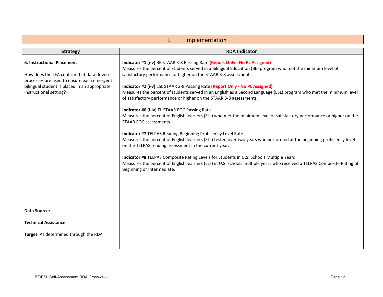<span id="page-11-0"></span>

| Implementation<br>ı.                                                                                                                                                                                    |                                                                                                                                                                                                                                                                                                                                                                                                                                                                                                                                                                                                                                                                                                                                                                                                                                                                                                                                                                                                                                                                                                                                                                                                                                                      |  |  |  |
|---------------------------------------------------------------------------------------------------------------------------------------------------------------------------------------------------------|------------------------------------------------------------------------------------------------------------------------------------------------------------------------------------------------------------------------------------------------------------------------------------------------------------------------------------------------------------------------------------------------------------------------------------------------------------------------------------------------------------------------------------------------------------------------------------------------------------------------------------------------------------------------------------------------------------------------------------------------------------------------------------------------------------------------------------------------------------------------------------------------------------------------------------------------------------------------------------------------------------------------------------------------------------------------------------------------------------------------------------------------------------------------------------------------------------------------------------------------------|--|--|--|
| <b>Strategy</b>                                                                                                                                                                                         | <b>RDA Indicator</b>                                                                                                                                                                                                                                                                                                                                                                                                                                                                                                                                                                                                                                                                                                                                                                                                                                                                                                                                                                                                                                                                                                                                                                                                                                 |  |  |  |
| <b>6. Instructional Placement</b><br>How does the LEA confirm that data driven<br>processes are used to ensure each emergent<br>bilingual student is placed in an appropriate<br>instructional setting? | Indicator #1 (i-v) BE STAAR 3-8 Passing Rate (Report Only - No PL Assigned)<br>Measures the percent of students served in a Bilingual Education (BE) program who met the minimum level of<br>satisfactory performance or higher on the STAAR 3-8 assessments.<br>Indicator #2 (i-v) ESL STAAR 3-8 Passing Rate (Report Only - No PL Assigned)<br>Measures the percent of students served in an English as a Second Language (ESL) program who met the minimum level<br>of satisfactory performance or higher on the STAAR 3-8 assessments.<br>Indicator #6 (i-iv) EL STAAR EOC Passing Rate<br>Measures the percent of English learners (ELs) who met the minimum level of satisfactory performance or higher on the<br>STAAR EOC assessments.<br>Indicator #7 TELPAS Reading Beginning Proficiency Level Rate<br>Measures the percent of English learners (ELs) tested over two years who performed at the beginning proficiency level<br>on the TELPAS reading assessment in the current year.<br>Indicator #8 TELPAS Composite Rating Levels for Students in U.S. Schools Multiple Years<br>Measures the percent of English learners (ELs) in U.S. schools multiple years who received a TELPAS Composite Rating of<br>Beginning or Intermediate. |  |  |  |
| <b>Data Source:</b>                                                                                                                                                                                     |                                                                                                                                                                                                                                                                                                                                                                                                                                                                                                                                                                                                                                                                                                                                                                                                                                                                                                                                                                                                                                                                                                                                                                                                                                                      |  |  |  |
| <b>Technical Assistance:</b>                                                                                                                                                                            |                                                                                                                                                                                                                                                                                                                                                                                                                                                                                                                                                                                                                                                                                                                                                                                                                                                                                                                                                                                                                                                                                                                                                                                                                                                      |  |  |  |
| Target: As determined through the RDA                                                                                                                                                                   |                                                                                                                                                                                                                                                                                                                                                                                                                                                                                                                                                                                                                                                                                                                                                                                                                                                                                                                                                                                                                                                                                                                                                                                                                                                      |  |  |  |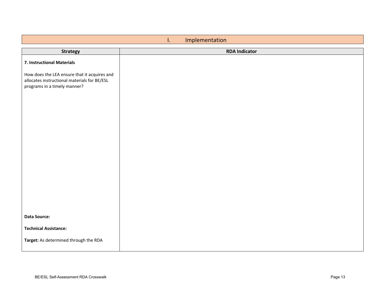<span id="page-12-0"></span>

| Implementation<br>I.                                                                                                         |                      |  |  |
|------------------------------------------------------------------------------------------------------------------------------|----------------------|--|--|
| <b>Strategy</b>                                                                                                              | <b>RDA Indicator</b> |  |  |
| 7. Instructional Materials                                                                                                   |                      |  |  |
| How does the LEA ensure that it acquires and<br>allocates instructional materials for BE/ESL<br>programs in a timely manner? |                      |  |  |
|                                                                                                                              |                      |  |  |
|                                                                                                                              |                      |  |  |
|                                                                                                                              |                      |  |  |
|                                                                                                                              |                      |  |  |
| <b>Data Source:</b>                                                                                                          |                      |  |  |
| <b>Technical Assistance:</b><br>Target: As determined through the RDA                                                        |                      |  |  |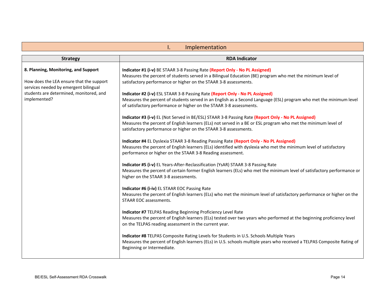<span id="page-13-0"></span>

| Implementation<br>I.                                                                                                                                                                 |                                                                                                                                                                                                                                                                                                                                                                                                                                                                                                                                                                                                                                                                                                                                                                                                                                                                                                                                                                                                                                                                                                                                                                                                                                                                                                                                                                                                                                                                                                                                                                                                                                                                                                                                                                                                                                                                                                                                                                                                                                                                                    |  |  |  |
|--------------------------------------------------------------------------------------------------------------------------------------------------------------------------------------|------------------------------------------------------------------------------------------------------------------------------------------------------------------------------------------------------------------------------------------------------------------------------------------------------------------------------------------------------------------------------------------------------------------------------------------------------------------------------------------------------------------------------------------------------------------------------------------------------------------------------------------------------------------------------------------------------------------------------------------------------------------------------------------------------------------------------------------------------------------------------------------------------------------------------------------------------------------------------------------------------------------------------------------------------------------------------------------------------------------------------------------------------------------------------------------------------------------------------------------------------------------------------------------------------------------------------------------------------------------------------------------------------------------------------------------------------------------------------------------------------------------------------------------------------------------------------------------------------------------------------------------------------------------------------------------------------------------------------------------------------------------------------------------------------------------------------------------------------------------------------------------------------------------------------------------------------------------------------------------------------------------------------------------------------------------------------------|--|--|--|
| <b>Strategy</b>                                                                                                                                                                      | <b>RDA Indicator</b>                                                                                                                                                                                                                                                                                                                                                                                                                                                                                                                                                                                                                                                                                                                                                                                                                                                                                                                                                                                                                                                                                                                                                                                                                                                                                                                                                                                                                                                                                                                                                                                                                                                                                                                                                                                                                                                                                                                                                                                                                                                               |  |  |  |
| 8. Planning, Monitoring, and Support<br>How does the LEA ensure that the support<br>services needed by emergent bilingual<br>students are determined, monitored, and<br>implemented? | Indicator #1 (i-v) BE STAAR 3-8 Passing Rate (Report Only - No PL Assigned)<br>Measures the percent of students served in a Bilingual Education (BE) program who met the minimum level of<br>satisfactory performance or higher on the STAAR 3-8 assessments.<br>Indicator #2 (i-v) ESL STAAR 3-8 Passing Rate (Report Only - No PL Assigned)<br>Measures the percent of students served in an English as a Second Language (ESL) program who met the minimum level<br>of satisfactory performance or higher on the STAAR 3-8 assessments.<br>Indicator #3 (i-v) EL (Not Served in BE/ESL) STAAR 3-8 Passing Rate (Report Only - No PL Assigned)<br>Measures the percent of English learners (ELs) not served in a BE or ESL program who met the minimum level of<br>satisfactory performance or higher on the STAAR 3-8 assessments.<br>Indicator #4 EL Dyslexia STAAR 3-8 Reading Passing Rate (Report Only - No PL Assigned)<br>Measures the percent of English learners (ELs) identified with dyslexia who met the minimum level of satisfactory<br>performance or higher on the STAAR 3-8 Reading assessment.<br>Indicator #5 (i-v) EL Years-After-Reclassification (YsAR) STAAR 3-8 Passing Rate<br>Measures the percent of certain former English learners (ELs) who met the minimum level of satisfactory performance or<br>higher on the STAAR 3-8 assessments.<br>Indicator #6 (i-iv) EL STAAR EOC Passing Rate<br>Measures the percent of English learners (ELs) who met the minimum level of satisfactory performance or higher on the<br>STAAR EOC assessments.<br>Indicator #7 TELPAS Reading Beginning Proficiency Level Rate<br>Measures the percent of English learners (ELs) tested over two years who performed at the beginning proficiency level<br>on the TELPAS reading assessment in the current year.<br>Indicator #8 TELPAS Composite Rating Levels for Students in U.S. Schools Multiple Years<br>Measures the percent of English learners (ELs) in U.S. schools multiple years who received a TELPAS Composite Rating of<br>Beginning or Intermediate. |  |  |  |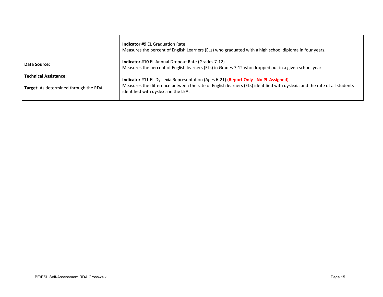|                                              | <b>Indicator #9 EL Graduation Rate</b><br>Measures the percent of English Learners (ELs) who graduated with a high school diploma in four years.                   |
|----------------------------------------------|--------------------------------------------------------------------------------------------------------------------------------------------------------------------|
| Data Source:                                 | <b>Indicator #10 EL Annual Dropout Rate (Grades 7-12)</b><br>Measures the percent of English learners (ELs) in Grades 7-12 who dropped out in a given school year. |
| <b>Technical Assistance:</b>                 | Indicator #11 EL Dyslexia Representation (Ages 6-21) (Report Only - No PL Assigned)                                                                                |
| <b>Target:</b> As determined through the RDA | Measures the difference between the rate of English learners (ELs) identified with dyslexia and the rate of all students<br>identified with dyslexia in the LEA.   |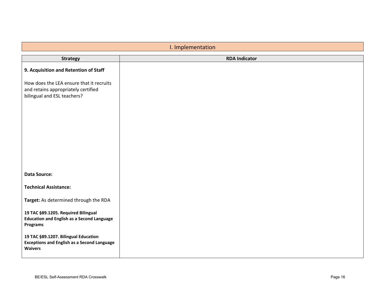<span id="page-15-0"></span>

| I. Implementation                                                                                              |                      |
|----------------------------------------------------------------------------------------------------------------|----------------------|
| <b>Strategy</b>                                                                                                | <b>RDA Indicator</b> |
| 9. Acquisition and Retention of Staff                                                                          |                      |
| How does the LEA ensure that it recruits<br>and retains appropriately certified<br>bilingual and ESL teachers? |                      |
| <b>Data Source:</b>                                                                                            |                      |
| <b>Technical Assistance:</b>                                                                                   |                      |
| Target: As determined through the RDA                                                                          |                      |
| 19 TAC §89.1205. Required Bilingual<br><b>Education and English as a Second Language</b><br>Programs           |                      |
| 19 TAC §89.1207. Bilingual Education<br><b>Exceptions and English as a Second Language</b><br><b>Waivers</b>   |                      |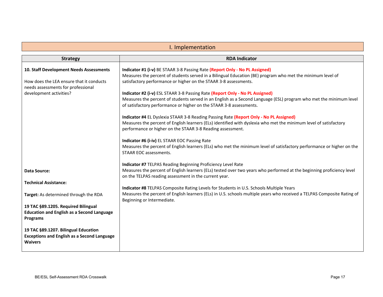<span id="page-16-0"></span>

| I. Implementation                                                                                            |                                                                                                                                                                                                                                                                           |
|--------------------------------------------------------------------------------------------------------------|---------------------------------------------------------------------------------------------------------------------------------------------------------------------------------------------------------------------------------------------------------------------------|
| <b>Strategy</b>                                                                                              | <b>RDA Indicator</b>                                                                                                                                                                                                                                                      |
| 10. Staff Development Needs Assessments<br>How does the LEA ensure that it conducts                          | Indicator #1 (i-v) BE STAAR 3-8 Passing Rate (Report Only - No PL Assigned)<br>Measures the percent of students served in a Bilingual Education (BE) program who met the minimum level of<br>satisfactory performance or higher on the STAAR 3-8 assessments.             |
| needs assessments for professional<br>development activities?                                                | Indicator #2 (i-v) ESL STAAR 3-8 Passing Rate (Report Only - No PL Assigned)<br>Measures the percent of students served in an English as a Second Language (ESL) program who met the minimum level<br>of satisfactory performance or higher on the STAAR 3-8 assessments. |
|                                                                                                              | Indicator #4 EL Dyslexia STAAR 3-8 Reading Passing Rate (Report Only - No PL Assigned)<br>Measures the percent of English learners (ELs) identified with dyslexia who met the minimum level of satisfactory<br>performance or higher on the STAAR 3-8 Reading assessment. |
|                                                                                                              | Indicator #6 (i-iv) EL STAAR EOC Passing Rate<br>Measures the percent of English learners (ELs) who met the minimum level of satisfactory performance or higher on the<br>STAAR EOC assessments.                                                                          |
| <b>Data Source:</b>                                                                                          | Indicator #7 TELPAS Reading Beginning Proficiency Level Rate<br>Measures the percent of English learners (ELs) tested over two years who performed at the beginning proficiency level<br>on the TELPAS reading assessment in the current year.                            |
| <b>Technical Assistance:</b><br>Target: As determined through the RDA                                        | Indicator #8 TELPAS Composite Rating Levels for Students in U.S. Schools Multiple Years<br>Measures the percent of English learners (ELs) in U.S. schools multiple years who received a TELPAS Composite Rating of                                                        |
| 19 TAC §89.1205. Required Bilingual                                                                          | Beginning or Intermediate.                                                                                                                                                                                                                                                |
| <b>Education and English as a Second Language</b><br><b>Programs</b>                                         |                                                                                                                                                                                                                                                                           |
| 19 TAC §89.1207. Bilingual Education<br><b>Exceptions and English as a Second Language</b><br><b>Waivers</b> |                                                                                                                                                                                                                                                                           |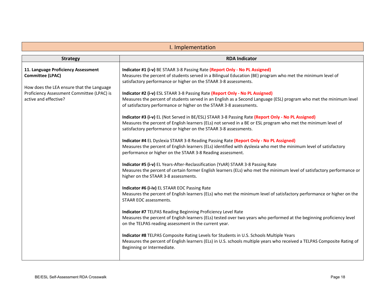<span id="page-17-0"></span>

| I. Implementation                                                                                                                                                                  |                                                                                                                                                                                                                                                                                                                                                                                                                                                                                                                                                                                                                                                                                                                                                                                                                                                                                                                                                                                                                                                                                                                                                                                                                                                                                                                                                                                                                                                                                                                                                                                                                                                                                                                                                                                                                                                                                                                                                                                                                                                                                    |
|------------------------------------------------------------------------------------------------------------------------------------------------------------------------------------|------------------------------------------------------------------------------------------------------------------------------------------------------------------------------------------------------------------------------------------------------------------------------------------------------------------------------------------------------------------------------------------------------------------------------------------------------------------------------------------------------------------------------------------------------------------------------------------------------------------------------------------------------------------------------------------------------------------------------------------------------------------------------------------------------------------------------------------------------------------------------------------------------------------------------------------------------------------------------------------------------------------------------------------------------------------------------------------------------------------------------------------------------------------------------------------------------------------------------------------------------------------------------------------------------------------------------------------------------------------------------------------------------------------------------------------------------------------------------------------------------------------------------------------------------------------------------------------------------------------------------------------------------------------------------------------------------------------------------------------------------------------------------------------------------------------------------------------------------------------------------------------------------------------------------------------------------------------------------------------------------------------------------------------------------------------------------------|
| <b>Strategy</b>                                                                                                                                                                    | <b>RDA Indicator</b>                                                                                                                                                                                                                                                                                                                                                                                                                                                                                                                                                                                                                                                                                                                                                                                                                                                                                                                                                                                                                                                                                                                                                                                                                                                                                                                                                                                                                                                                                                                                                                                                                                                                                                                                                                                                                                                                                                                                                                                                                                                               |
| 11. Language Proficiency Assessment<br><b>Committee (LPAC)</b><br>How does the LEA ensure that the Language<br>Proficiency Assessment Committee (LPAC) is<br>active and effective? | Indicator #1 (i-v) BE STAAR 3-8 Passing Rate (Report Only - No PL Assigned)<br>Measures the percent of students served in a Bilingual Education (BE) program who met the minimum level of<br>satisfactory performance or higher on the STAAR 3-8 assessments.<br>Indicator #2 (i-v) ESL STAAR 3-8 Passing Rate (Report Only - No PL Assigned)<br>Measures the percent of students served in an English as a Second Language (ESL) program who met the minimum level<br>of satisfactory performance or higher on the STAAR 3-8 assessments.<br>Indicator #3 (i-v) EL (Not Served in BE/ESL) STAAR 3-8 Passing Rate (Report Only - No PL Assigned)<br>Measures the percent of English learners (ELs) not served in a BE or ESL program who met the minimum level of<br>satisfactory performance or higher on the STAAR 3-8 assessments.<br>Indicator #4 EL Dyslexia STAAR 3-8 Reading Passing Rate (Report Only - No PL Assigned)<br>Measures the percent of English learners (ELs) identified with dyslexia who met the minimum level of satisfactory<br>performance or higher on the STAAR 3-8 Reading assessment.<br>Indicator #5 (i-v) EL Years-After-Reclassification (YsAR) STAAR 3-8 Passing Rate<br>Measures the percent of certain former English learners (ELs) who met the minimum level of satisfactory performance or<br>higher on the STAAR 3-8 assessments.<br>Indicator #6 (i-iv) EL STAAR EOC Passing Rate<br>Measures the percent of English learners (ELs) who met the minimum level of satisfactory performance or higher on the<br>STAAR EOC assessments.<br>Indicator #7 TELPAS Reading Beginning Proficiency Level Rate<br>Measures the percent of English learners (ELs) tested over two years who performed at the beginning proficiency level<br>on the TELPAS reading assessment in the current year.<br>Indicator #8 TELPAS Composite Rating Levels for Students in U.S. Schools Multiple Years<br>Measures the percent of English learners (ELs) in U.S. schools multiple years who received a TELPAS Composite Rating of<br>Beginning or Intermediate. |
|                                                                                                                                                                                    |                                                                                                                                                                                                                                                                                                                                                                                                                                                                                                                                                                                                                                                                                                                                                                                                                                                                                                                                                                                                                                                                                                                                                                                                                                                                                                                                                                                                                                                                                                                                                                                                                                                                                                                                                                                                                                                                                                                                                                                                                                                                                    |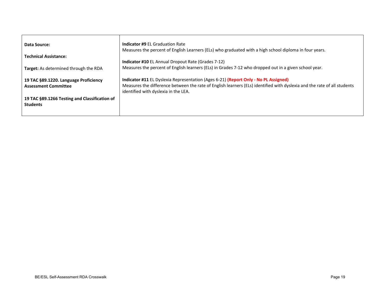| Data Source:                                  | <b>Indicator #9 EL Graduation Rate</b><br>Measures the percent of English Learners (ELs) who graduated with a high school diploma in four years.                 |
|-----------------------------------------------|------------------------------------------------------------------------------------------------------------------------------------------------------------------|
| <b>Technical Assistance:</b>                  |                                                                                                                                                                  |
|                                               | <b>Indicator #10 EL Annual Dropout Rate (Grades 7-12)</b>                                                                                                        |
| <b>Target:</b> As determined through the RDA  | Measures the percent of English learners (ELs) in Grades 7-12 who dropped out in a given school year.                                                            |
| 19 TAC §89.1220. Language Proficiency         | Indicator #11 EL Dyslexia Representation (Ages 6-21) (Report Only - No PL Assigned)                                                                              |
| <b>Assessment Committee</b>                   | Measures the difference between the rate of English learners (ELs) identified with dyslexia and the rate of all students<br>identified with dyslexia in the LEA. |
| 19 TAC §89.1266 Testing and Classification of |                                                                                                                                                                  |
| <b>Students</b>                               |                                                                                                                                                                  |
|                                               |                                                                                                                                                                  |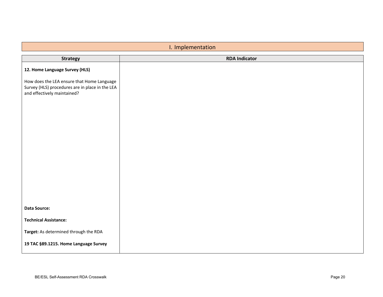<span id="page-19-0"></span>

| I. Implementation                                                                                                            |                      |
|------------------------------------------------------------------------------------------------------------------------------|----------------------|
| <b>Strategy</b>                                                                                                              | <b>RDA Indicator</b> |
| 12. Home Language Survey (HLS)                                                                                               |                      |
| How does the LEA ensure that Home Language<br>Survey (HLS) procedures are in place in the LEA<br>and effectively maintained? |                      |
| Data Source:                                                                                                                 |                      |
|                                                                                                                              |                      |
| <b>Technical Assistance:</b>                                                                                                 |                      |
| Target: As determined through the RDA                                                                                        |                      |
| 19 TAC §89.1215. Home Language Survey                                                                                        |                      |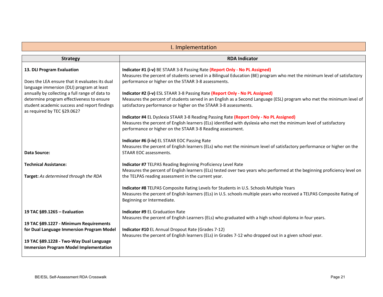<span id="page-20-0"></span>

| I. Implementation                                                                                                                                                                                                                                                                                       |                                                                                                                                                                                                                                                                                                                                                                                                                                                                                                                                                                                                                                                                                                                                                           |
|---------------------------------------------------------------------------------------------------------------------------------------------------------------------------------------------------------------------------------------------------------------------------------------------------------|-----------------------------------------------------------------------------------------------------------------------------------------------------------------------------------------------------------------------------------------------------------------------------------------------------------------------------------------------------------------------------------------------------------------------------------------------------------------------------------------------------------------------------------------------------------------------------------------------------------------------------------------------------------------------------------------------------------------------------------------------------------|
| <b>Strategy</b>                                                                                                                                                                                                                                                                                         | <b>RDA Indicator</b>                                                                                                                                                                                                                                                                                                                                                                                                                                                                                                                                                                                                                                                                                                                                      |
| 13. DLI Program Evaluation<br>Does the LEA ensure that it evaluates its dual<br>language immersion (DLI) program at least<br>annually by collecting a full range of data to<br>determine program effectiveness to ensure<br>student academic success and report findings<br>as required by TEC §29.062? | Indicator #1 (i-v) BE STAAR 3-8 Passing Rate (Report Only - No PL Assigned)<br>Measures the percent of students served in a Bilingual Education (BE) program who met the minimum level of satisfactory<br>performance or higher on the STAAR 3-8 assessments.<br>Indicator #2 (i-v) ESL STAAR 3-8 Passing Rate (Report Only - No PL Assigned)<br>Measures the percent of students served in an English as a Second Language (ESL) program who met the minimum level of<br>satisfactory performance or higher on the STAAR 3-8 assessments.<br>Indicator #4 EL Dyslexia STAAR 3-8 Reading Passing Rate (Report Only - No PL Assigned)<br>Measures the percent of English learners (ELs) identified with dyslexia who met the minimum level of satisfactory |
| <b>Data Source:</b>                                                                                                                                                                                                                                                                                     | performance or higher on the STAAR 3-8 Reading assessment.<br>Indicator #6 (i-iv) EL STAAR EOC Passing Rate<br>Measures the percent of English learners (ELs) who met the minimum level of satisfactory performance or higher on the<br>STAAR EOC assessments.                                                                                                                                                                                                                                                                                                                                                                                                                                                                                            |
| <b>Technical Assistance:</b><br>Target: As determined through the RDA                                                                                                                                                                                                                                   | Indicator #7 TELPAS Reading Beginning Proficiency Level Rate<br>Measures the percent of English learners (ELs) tested over two years who performed at the beginning proficiency level on<br>the TELPAS reading assessment in the current year.                                                                                                                                                                                                                                                                                                                                                                                                                                                                                                            |
|                                                                                                                                                                                                                                                                                                         | Indicator #8 TELPAS Composite Rating Levels for Students in U.S. Schools Multiple Years<br>Measures the percent of English learners (ELs) in U.S. schools multiple years who received a TELPAS Composite Rating of<br>Beginning or Intermediate.                                                                                                                                                                                                                                                                                                                                                                                                                                                                                                          |
| 19 TAC §89.1265 - Evaluation                                                                                                                                                                                                                                                                            | Indicator #9 EL Graduation Rate<br>Measures the percent of English Learners (ELs) who graduated with a high school diploma in four years.                                                                                                                                                                                                                                                                                                                                                                                                                                                                                                                                                                                                                 |
| 19 TAC §89.1227 - Minimum Requirements<br>for Dual Language Immersion Program Model<br>19 TAC §89.1228 - Two-Way Dual Language<br><b>Immersion Program Model Implementation</b>                                                                                                                         | Indicator #10 EL Annual Dropout Rate (Grades 7-12)<br>Measures the percent of English learners (ELs) in Grades 7-12 who dropped out in a given school year.                                                                                                                                                                                                                                                                                                                                                                                                                                                                                                                                                                                               |
|                                                                                                                                                                                                                                                                                                         |                                                                                                                                                                                                                                                                                                                                                                                                                                                                                                                                                                                                                                                                                                                                                           |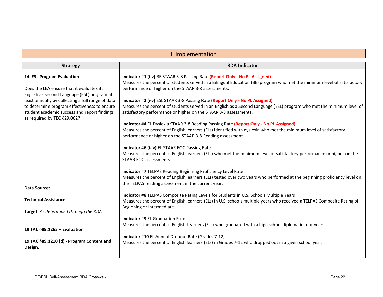### I. Implementation

<span id="page-21-0"></span>

| <b>Strategy</b>                                                                                                             | <b>RDA Indicator</b>                                                                                                                                                                                                                             |
|-----------------------------------------------------------------------------------------------------------------------------|--------------------------------------------------------------------------------------------------------------------------------------------------------------------------------------------------------------------------------------------------|
|                                                                                                                             |                                                                                                                                                                                                                                                  |
| 14. ESL Program Evaluation                                                                                                  | Indicator #1 (i-v) BE STAAR 3-8 Passing Rate (Report Only - No PL Assigned)<br>Measures the percent of students served in a Bilingual Education (BE) program who met the minimum level of satisfactory                                           |
| Does the LEA ensure that it evaluates its<br>English as Second Language (ESL) program at                                    | performance or higher on the STAAR 3-8 assessments.                                                                                                                                                                                              |
| least annually by collecting a full range of data                                                                           | Indicator #2 (i-v) ESL STAAR 3-8 Passing Rate (Report Only - No PL Assigned)                                                                                                                                                                     |
| to determine program effectiveness to ensure<br>student academic success and report findings<br>as required by TEC §29.062? | Measures the percent of students served in an English as a Second Language (ESL) program who met the minimum level of<br>satisfactory performance or higher on the STAAR 3-8 assessments.                                                        |
|                                                                                                                             | Indicator #4 EL Dyslexia STAAR 3-8 Reading Passing Rate (Report Only - No PL Assigned)                                                                                                                                                           |
|                                                                                                                             | Measures the percent of English learners (ELs) identified with dyslexia who met the minimum level of satisfactory<br>performance or higher on the STAAR 3-8 Reading assessment.                                                                  |
|                                                                                                                             | Indicator #6 (i-iv) EL STAAR EOC Passing Rate                                                                                                                                                                                                    |
|                                                                                                                             | Measures the percent of English learners (ELs) who met the minimum level of satisfactory performance or higher on the<br>STAAR EOC assessments.                                                                                                  |
|                                                                                                                             | Indicator #7 TELPAS Reading Beginning Proficiency Level Rate                                                                                                                                                                                     |
|                                                                                                                             | Measures the percent of English learners (ELs) tested over two years who performed at the beginning proficiency level on<br>the TELPAS reading assessment in the current year.                                                                   |
| <b>Data Source:</b>                                                                                                         |                                                                                                                                                                                                                                                  |
| <b>Technical Assistance:</b>                                                                                                | Indicator #8 TELPAS Composite Rating Levels for Students in U.S. Schools Multiple Years<br>Measures the percent of English learners (ELs) in U.S. schools multiple years who received a TELPAS Composite Rating of<br>Beginning or Intermediate. |
| Target: As determined through the RDA                                                                                       |                                                                                                                                                                                                                                                  |
|                                                                                                                             | <b>Indicator #9 EL Graduation Rate</b>                                                                                                                                                                                                           |
| 19 TAC §89.1265 - Evaluation                                                                                                | Measures the percent of English Learners (ELs) who graduated with a high school diploma in four years.                                                                                                                                           |
|                                                                                                                             | Indicator #10 EL Annual Dropout Rate (Grades 7-12)                                                                                                                                                                                               |
| 19 TAC §89.1210 (d) - Program Content and<br>Design.                                                                        | Measures the percent of English learners (ELs) in Grades 7-12 who dropped out in a given school year.                                                                                                                                            |
|                                                                                                                             |                                                                                                                                                                                                                                                  |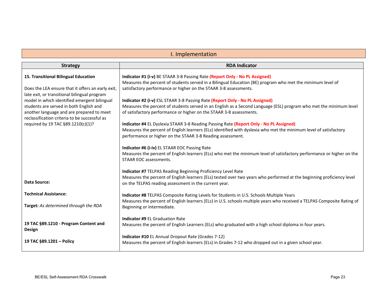#### I. Implementation

<span id="page-22-0"></span>

| <b>Strategy</b>                                                                                   | <b>RDA Indicator</b>                                                                                                                                                           |
|---------------------------------------------------------------------------------------------------|--------------------------------------------------------------------------------------------------------------------------------------------------------------------------------|
|                                                                                                   |                                                                                                                                                                                |
| 15. Transitional Bilingual Education                                                              | Indicator #1 (i-v) BE STAAR 3-8 Passing Rate (Report Only - No PL Assigned)                                                                                                    |
|                                                                                                   | Measures the percent of students served in a Bilingual Education (BE) program who met the minimum level of<br>satisfactory performance or higher on the STAAR 3-8 assessments. |
| Does the LEA ensure that it offers an early exit,<br>late exit, or transitional bilingual program |                                                                                                                                                                                |
| model in which identified emergent bilingual                                                      | Indicator #2 (i-v) ESL STAAR 3-8 Passing Rate (Report Only - No PL Assigned)                                                                                                   |
| students are served in both English and                                                           | Measures the percent of students served in an English as a Second Language (ESL) program who met the minimum level                                                             |
| another language and are prepared to meet                                                         | of satisfactory performance or higher on the STAAR 3-8 assessments.                                                                                                            |
| reclassification criteria to be successful as                                                     |                                                                                                                                                                                |
| required by 19 TAC §89.1210(c)(1)?                                                                | Indicator #4 EL Dyslexia STAAR 3-8 Reading Passing Rate (Report Only - No PL Assigned)                                                                                         |
|                                                                                                   | Measures the percent of English learners (ELs) identified with dyslexia who met the minimum level of satisfactory                                                              |
|                                                                                                   | performance or higher on the STAAR 3-8 Reading assessment.                                                                                                                     |
|                                                                                                   | Indicator #6 (i-iv) EL STAAR EOC Passing Rate                                                                                                                                  |
|                                                                                                   | Measures the percent of English learners (ELs) who met the minimum level of satisfactory performance or higher on the                                                          |
|                                                                                                   | STAAR EOC assessments.                                                                                                                                                         |
|                                                                                                   |                                                                                                                                                                                |
|                                                                                                   | Indicator #7 TELPAS Reading Beginning Proficiency Level Rate                                                                                                                   |
| Data Source:                                                                                      | Measures the percent of English learners (ELs) tested over two years who performed at the beginning proficiency level                                                          |
|                                                                                                   | on the TELPAS reading assessment in the current year.                                                                                                                          |
| <b>Technical Assistance:</b>                                                                      | Indicator #8 TELPAS Composite Rating Levels for Students in U.S. Schools Multiple Years                                                                                        |
|                                                                                                   | Measures the percent of English learners (ELs) in U.S. schools multiple years who received a TELPAS Composite Rating of                                                        |
| <b>Target:</b> As determined through the RDA                                                      | Beginning or Intermediate.                                                                                                                                                     |
|                                                                                                   |                                                                                                                                                                                |
| 19 TAC §89.1210 - Program Content and                                                             | <b>Indicator #9 EL Graduation Rate</b>                                                                                                                                         |
| <b>Design</b>                                                                                     | Measures the percent of English Learners (ELs) who graduated with a high school diploma in four years.                                                                         |
|                                                                                                   | Indicator #10 EL Annual Dropout Rate (Grades 7-12)                                                                                                                             |
| 19 TAC §89.1201 - Policy                                                                          | Measures the percent of English learners (ELs) in Grades 7-12 who dropped out in a given school year.                                                                          |
|                                                                                                   |                                                                                                                                                                                |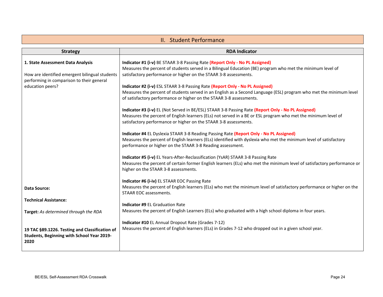<span id="page-23-0"></span>

| II. Student Performance                                                                                                                              |                                                                                                                                                                                                                                                                                                                                                                                                                                                                                                                                                                                                                                                                                                                                                                                                                                                                                                                                                                                                                                                                                                                                                                                                                                                                                                                                                                          |
|------------------------------------------------------------------------------------------------------------------------------------------------------|--------------------------------------------------------------------------------------------------------------------------------------------------------------------------------------------------------------------------------------------------------------------------------------------------------------------------------------------------------------------------------------------------------------------------------------------------------------------------------------------------------------------------------------------------------------------------------------------------------------------------------------------------------------------------------------------------------------------------------------------------------------------------------------------------------------------------------------------------------------------------------------------------------------------------------------------------------------------------------------------------------------------------------------------------------------------------------------------------------------------------------------------------------------------------------------------------------------------------------------------------------------------------------------------------------------------------------------------------------------------------|
| <b>Strategy</b>                                                                                                                                      | <b>RDA Indicator</b>                                                                                                                                                                                                                                                                                                                                                                                                                                                                                                                                                                                                                                                                                                                                                                                                                                                                                                                                                                                                                                                                                                                                                                                                                                                                                                                                                     |
| 1. State Assessment Data Analysis<br>How are identified emergent bilingual students<br>performing in comparison to their general<br>education peers? | Indicator #1 (i-v) BE STAAR 3-8 Passing Rate (Report Only - No PL Assigned)<br>Measures the percent of students served in a Bilingual Education (BE) program who met the minimum level of<br>satisfactory performance or higher on the STAAR 3-8 assessments.<br>Indicator #2 (i-v) ESL STAAR 3-8 Passing Rate (Report Only - No PL Assigned)<br>Measures the percent of students served in an English as a Second Language (ESL) program who met the minimum level<br>of satisfactory performance or higher on the STAAR 3-8 assessments.<br>Indicator #3 (i-v) EL (Not Served in BE/ESL) STAAR 3-8 Passing Rate (Report Only - No PL Assigned)<br>Measures the percent of English learners (ELs) not served in a BE or ESL program who met the minimum level of<br>satisfactory performance or higher on the STAAR 3-8 assessments.<br>Indicator #4 EL Dyslexia STAAR 3-8 Reading Passing Rate (Report Only - No PL Assigned)<br>Measures the percent of English learners (ELs) identified with dyslexia who met the minimum level of satisfactory<br>performance or higher on the STAAR 3-8 Reading assessment.<br>Indicator #5 (i-v) EL Years-After-Reclassification (YSAR) STAAR 3-8 Passing Rate<br>Measures the percent of certain former English learners (ELs) who met the minimum level of satisfactory performance or<br>higher on the STAAR 3-8 assessments. |
| Data Source:<br><b>Technical Assistance:</b>                                                                                                         | Indicator #6 (i-iv) EL STAAR EOC Passing Rate<br>Measures the percent of English learners (ELs) who met the minimum level of satisfactory performance or higher on the<br>STAAR EOC assessments.                                                                                                                                                                                                                                                                                                                                                                                                                                                                                                                                                                                                                                                                                                                                                                                                                                                                                                                                                                                                                                                                                                                                                                         |
| Target: As determined through the RDA                                                                                                                | <b>Indicator #9 EL Graduation Rate</b><br>Measures the percent of English Learners (ELs) who graduated with a high school diploma in four years.                                                                                                                                                                                                                                                                                                                                                                                                                                                                                                                                                                                                                                                                                                                                                                                                                                                                                                                                                                                                                                                                                                                                                                                                                         |
| 19 TAC §89.1226. Testing and Classification of<br>Students, Beginning with School Year 2019-<br>2020                                                 | Indicator #10 EL Annual Dropout Rate (Grades 7-12)<br>Measures the percent of English learners (ELs) in Grades 7-12 who dropped out in a given school year.                                                                                                                                                                                                                                                                                                                                                                                                                                                                                                                                                                                                                                                                                                                                                                                                                                                                                                                                                                                                                                                                                                                                                                                                              |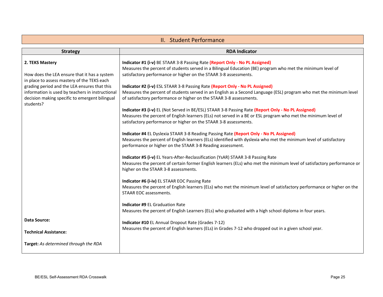<span id="page-24-0"></span>

| II. Student Performance                                                                                                                                                                                                                                                           |                                                                                                                                                                                                                                                                                                                                                                                                                                                                                                                                                                                                                                                                                                                                                                                                                                                                                                                                                                                                                                                                                                                                                                                                                                                                                                                                                                                                                                                                                                                                                                                                                                                                                                                                  |
|-----------------------------------------------------------------------------------------------------------------------------------------------------------------------------------------------------------------------------------------------------------------------------------|----------------------------------------------------------------------------------------------------------------------------------------------------------------------------------------------------------------------------------------------------------------------------------------------------------------------------------------------------------------------------------------------------------------------------------------------------------------------------------------------------------------------------------------------------------------------------------------------------------------------------------------------------------------------------------------------------------------------------------------------------------------------------------------------------------------------------------------------------------------------------------------------------------------------------------------------------------------------------------------------------------------------------------------------------------------------------------------------------------------------------------------------------------------------------------------------------------------------------------------------------------------------------------------------------------------------------------------------------------------------------------------------------------------------------------------------------------------------------------------------------------------------------------------------------------------------------------------------------------------------------------------------------------------------------------------------------------------------------------|
| <b>Strategy</b>                                                                                                                                                                                                                                                                   | <b>RDA Indicator</b>                                                                                                                                                                                                                                                                                                                                                                                                                                                                                                                                                                                                                                                                                                                                                                                                                                                                                                                                                                                                                                                                                                                                                                                                                                                                                                                                                                                                                                                                                                                                                                                                                                                                                                             |
| 2. TEKS Mastery<br>How does the LEA ensure that it has a system<br>in place to assess mastery of the TEKS each<br>grading period and the LEA ensures that this<br>information is used by teachers in instructional<br>decision making specific to emergent bilingual<br>students? | Indicator #1 (i-v) BE STAAR 3-8 Passing Rate (Report Only - No PL Assigned)<br>Measures the percent of students served in a Bilingual Education (BE) program who met the minimum level of<br>satisfactory performance or higher on the STAAR 3-8 assessments.<br>Indicator #2 (i-v) ESL STAAR 3-8 Passing Rate (Report Only - No PL Assigned)<br>Measures the percent of students served in an English as a Second Language (ESL) program who met the minimum level<br>of satisfactory performance or higher on the STAAR 3-8 assessments.<br>Indicator #3 (i-v) EL (Not Served in BE/ESL) STAAR 3-8 Passing Rate (Report Only - No PL Assigned)<br>Measures the percent of English learners (ELs) not served in a BE or ESL program who met the minimum level of<br>satisfactory performance or higher on the STAAR 3-8 assessments.<br>Indicator #4 EL Dyslexia STAAR 3-8 Reading Passing Rate (Report Only - No PL Assigned)<br>Measures the percent of English learners (ELs) identified with dyslexia who met the minimum level of satisfactory<br>performance or higher on the STAAR 3-8 Reading assessment.<br>Indicator #5 (i-v) EL Years-After-Reclassification (YsAR) STAAR 3-8 Passing Rate<br>Measures the percent of certain former English learners (ELs) who met the minimum level of satisfactory performance or<br>higher on the STAAR 3-8 assessments.<br>Indicator #6 (i-iv) EL STAAR EOC Passing Rate<br>Measures the percent of English learners (ELs) who met the minimum level of satisfactory performance or higher on the<br>STAAR EOC assessments.<br><b>Indicator #9 EL Graduation Rate</b><br>Measures the percent of English Learners (ELs) who graduated with a high school diploma in four years. |
| Data Source:<br><b>Technical Assistance:</b>                                                                                                                                                                                                                                      | Indicator #10 EL Annual Dropout Rate (Grades 7-12)<br>Measures the percent of English learners (ELs) in Grades 7-12 who dropped out in a given school year.                                                                                                                                                                                                                                                                                                                                                                                                                                                                                                                                                                                                                                                                                                                                                                                                                                                                                                                                                                                                                                                                                                                                                                                                                                                                                                                                                                                                                                                                                                                                                                      |
| Target: As determined through the RDA                                                                                                                                                                                                                                             |                                                                                                                                                                                                                                                                                                                                                                                                                                                                                                                                                                                                                                                                                                                                                                                                                                                                                                                                                                                                                                                                                                                                                                                                                                                                                                                                                                                                                                                                                                                                                                                                                                                                                                                                  |